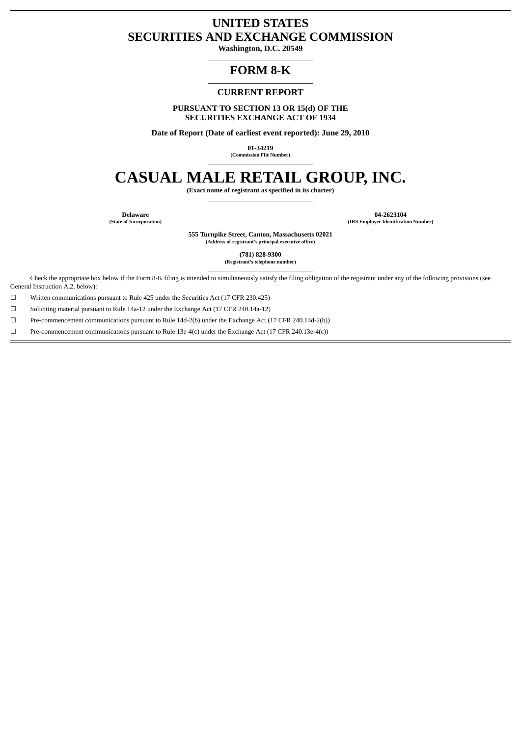#### **UNITED STATES SECURITIES AND EXCHANGE COMMISSION**

**Washington, D.C. 20549**

#### **FORM 8-K**

#### **CURRENT REPORT**

**PURSUANT TO SECTION 13 OR 15(d) OF THE SECURITIES EXCHANGE ACT OF 1934**

**Date of Report (Date of earliest event reported): June 29, 2010**

**01-34219 (Commission File Number)**

**CASUAL MALE RETAIL GROUP, INC.**

**(Exact name of registrant as specified in its charter)**

**Delaware 04-2623104 (State of Incorporation) (IRS Employer Identification Number)**

> **555 Turnpike Street, Canton, Massachusetts 02021 (Address of registrant's principal executive office)**

> > **(781) 828-9300**

**(Registrant's telephone number)**

Check the appropriate box below if the Form 8-K filing is intended to simultaneously satisfy the filing obligation of the registrant under any of the following provisions (see General Instruction A.2. below):

☐ Written communications pursuant to Rule 425 under the Securities Act (17 CFR 230.425)

☐ Soliciting material pursuant to Rule 14a-12 under the Exchange Act (17 CFR 240.14a-12)

☐ Pre-commencement communications pursuant to Rule 14d-2(b) under the Exchange Act (17 CFR 240.14d-2(b))

 $□$  Pre-commencement communications pursuant to Rule 13e-4(c) under the Exchange Act (17 CFR 240.13e-4(c))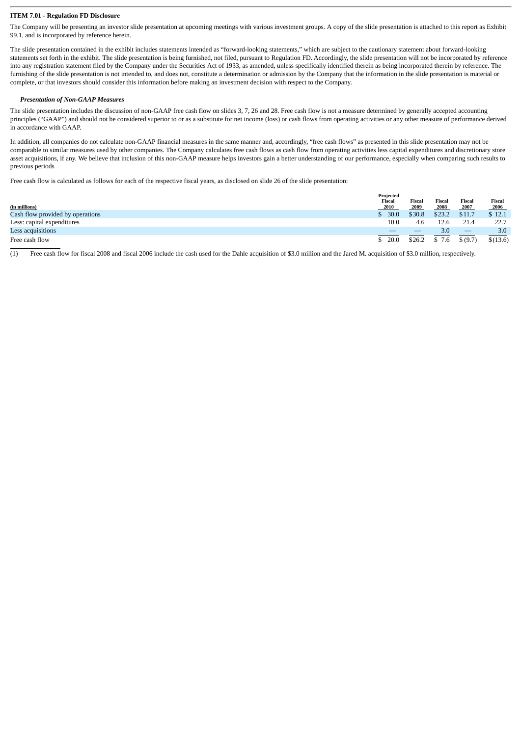#### **ITEM 7.01 - Regulation FD Disclosure**

The Company will be presenting an investor slide presentation at upcoming meetings with various investment groups. A copy of the slide presentation is attached to this report as Exhibit 99.1, and is incorporated by reference herein.

The slide presentation contained in the exhibit includes statements intended as "forward-looking statements," which are subject to the cautionary statement about forward-looking statements set forth in the exhibit. The slide presentation is being furnished, not filed, pursuant to Regulation FD. Accordingly, the slide presentation will not be incorporated by reference into any registration statement filed by the Company under the Securities Act of 1933, as amended, unless specifically identified therein as being incorporated therein by reference. The furnishing of the slide presentation is not intended to, and does not, constitute a determination or admission by the Company that the information in the slide presentation is material or complete, or that investors should consider this information before making an investment decision with respect to the Company.

#### *Presentation of Non-GAAP Measures*

The slide presentation includes the discussion of non-GAAP free cash flow on slides 3, 7, 26 and 28. Free cash flow is not a measure determined by generally accepted accounting principles ("GAAP") and should not be considered superior to or as a substitute for net income (loss) or cash flows from operating activities or any other measure of performance derived in accordance with GAAP.

In addition, all companies do not calculate non-GAAP financial measures in the same manner and, accordingly, "free cash flows" as presented in this slide presentation may not be comparable to similar measures used by other companies. The Company calculates free cash flows as cash flow from operating activities less capital expenditures and discretionary store asset acquisitions, if any. We believe that inclusion of this non-GAAP measure helps investors gain a better understanding of our performance, especially when comparing such results to previous periods

Free cash flow is calculated as follows for each of the respective fiscal years, as disclosed on slide 26 of the slide presentation:

|                                  | Projected |        |               |               |          |
|----------------------------------|-----------|--------|---------------|---------------|----------|
|                                  | Fiscal    | Fiscal | <b>Fiscal</b> | <b>Fiscal</b> | Fiscal   |
| (in millions)                    | 2010      | 2009   | 2008          | 2007          | 2006     |
| Cash flow provided by operations | 30.0      | \$30.8 | \$23.2        | \$11.7        | \$12.1   |
| Less: capital expenditures       | 10.0      | 4.6    | 12.6          | 21.4          | 22.7     |
| Less acquisitions                |           | _      | 3.0           |               | 3.0      |
| Free cash flow                   | 20.0      | \$26.2 | \$7.6         | \$ (9.7)      | \$(13.6) |

 $\overline{(1)}$  Free cash flow for fiscal 2008 and fiscal 2006 include the cash used for the Dahle acquisition of \$3.0 million and the Jared M. acquisition of \$3.0 million, respectively.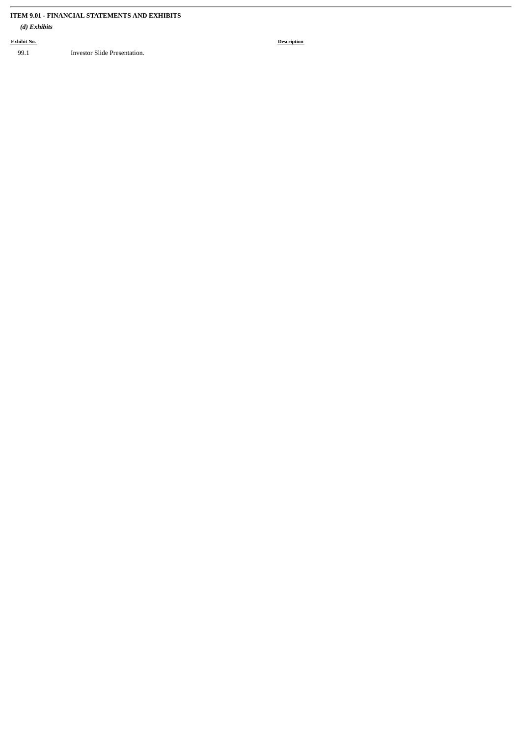#### **ITEM 9.01 - FINANCIAL STATEMENTS AND EXHIBITS**

#### *(d) Exhibits*

**Exhibit No. Description**

99.1 Investor Slide Presentation.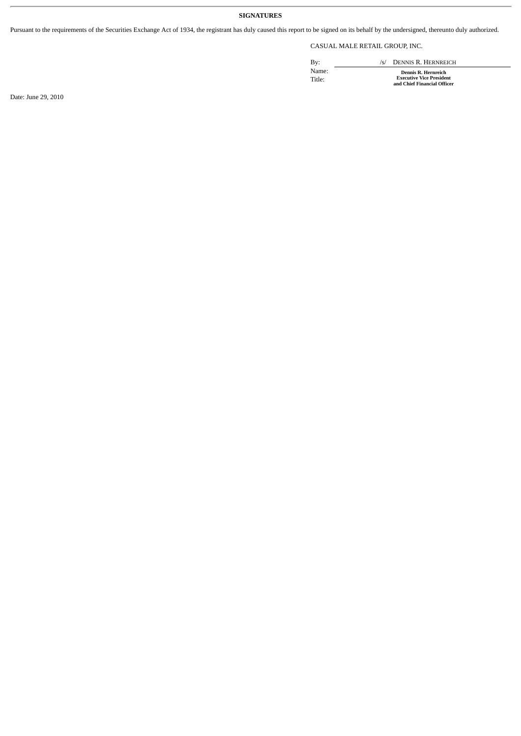#### **SIGNATURES**

Pursuant to the requirements of the Securities Exchange Act of 1934, the registrant has duly caused this report to be signed on its behalf by the undersigned, thereunto duly authorized.

CASUAL MALE RETAIL GROUP, INC.

By: /s/ DENNIS R. HERNREICH Name: **Dennis R. Hernreich** Title: **Executive Vice President and Chief Financial Officer**

Date: June 29, 2010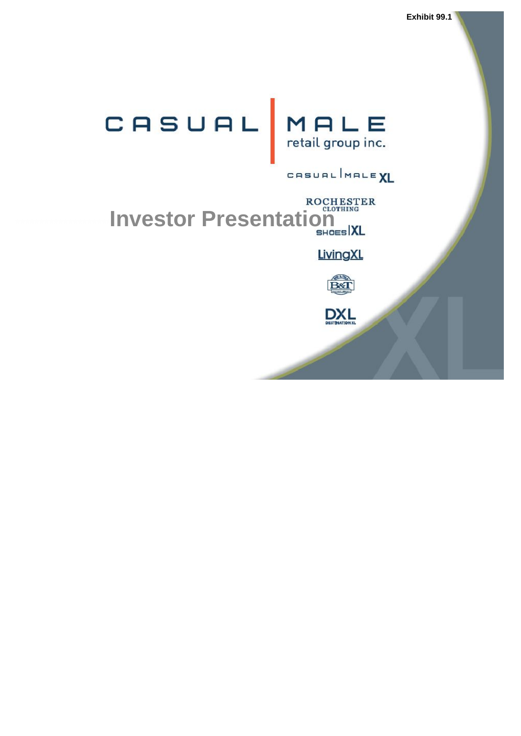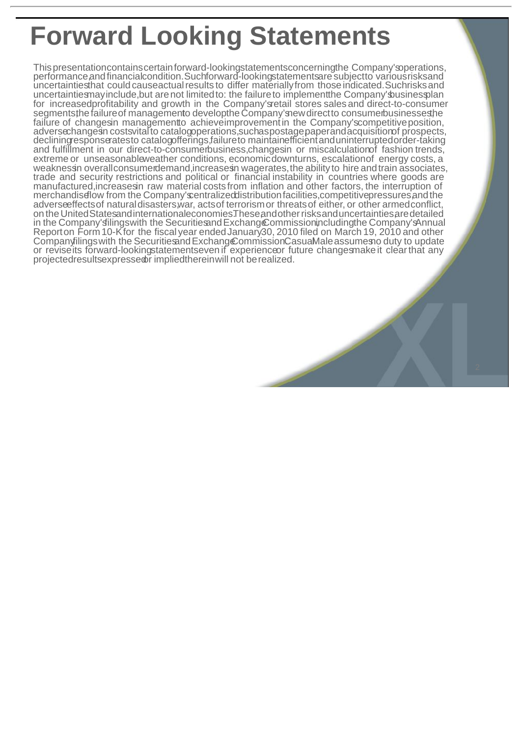#### **Forward Looking Statements**

Thispresentationcontainscertainforward-lookingstatementsconcerningthe Company'soperations, performance,and financialcondition. Suchforward-lookingstatementsare subjectto various risksand uncertaintiesthat couldcauseactualresults to differ materiallyfrom thoseindicated.Suchrisksand uncertaintiesmayinclude,but arenot limitedto: the failureto implementthe Company'sbusinessplan for increasedprofitability and growth in the Company'sretail stores sales and direct-to-consumer segments,the failure of managemento developthe Company's new direct to consumerbusinesses, he failure of changesin managementto achieveimprovement in the Company's competitive position, adversechangesin costsvitalto catalogoperations,suchaspostage,paperandacquisitionof prospects, decliningresponseratesto catalogofferings,failureto maintainefficientanduninterruptedorder-taking and fulfillment in our direct-to-consumerbusiness,changesin or miscalculationof fashion trends, extreme or unseasonableweather conditions, economicdownturns, escalationof energy costs, a weaknessin overallconsumerdemand, increases in wagerates, the ability to hire and train associates, trade and security restrictions and political or financial instability in countries where goods are manufactured,increasesin raw material costs from inflation and other factors, the interruption of merchandisetow from the Company's entralized distribution facilities, competitive pressures and the adverseeffectsof naturaldisasters,war, actsof terrorismor threatsof either, or other armedconflict, on the United Statesand internationaleconomies.These and other risks and uncertainties are detailed in the Company's filings with the Securities and Exchang Commission including the Company's Annual Reporton Form 10-Kfor the fiscal year endedJanuary30, 2010 filed on March 19, 2010 and other Companyfilings with the Securities and Exchang Commission Casua Male assumes no duty to update or reviseits forward-lookingstatementseven if experienceor future changesmakeit clearthat any projectedresultsexpressedor impliedthereinwill not berealized.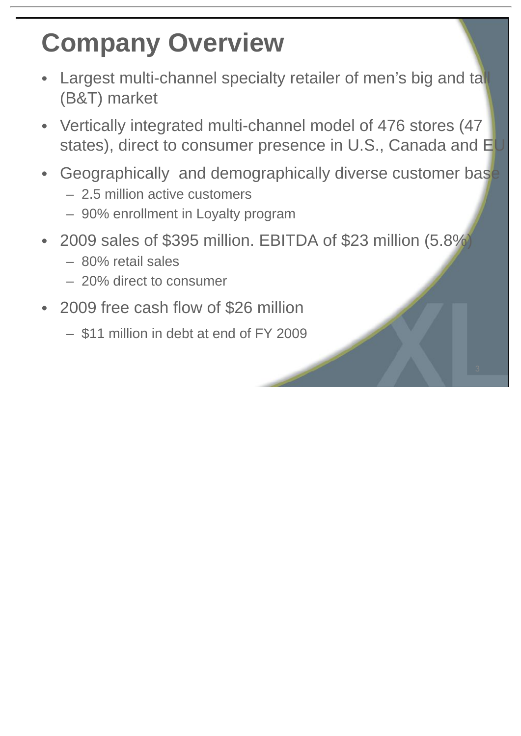### **Company Overview**

- Largest multi-channel specialty retailer of men's big and tall (B&T) market
- Vertically integrated multi-channel model of 476 stores (47 states), direct to consumer presence in U.S., Canada and EU
- Geographically and demographically diverse customer base
	- 2.5 million active customers
	- 90% enrollment in Loyalty program
- 2009 sales of \$395 million. EBITDA of \$23 million (5.8%)
	- 80% retail sales
	- 20% direct to consumer
- 2009 free cash flow of \$26 million
	- \$11 million in debt at end of FY 2009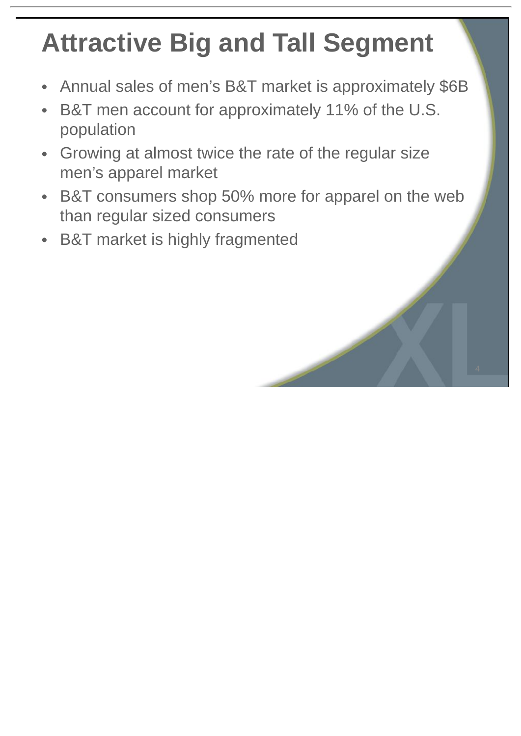# **Attractive Big and Tall Segment**

- Annual sales of men's B&T market is approximately \$6B
- B&T men account for approximately 11% of the U.S. population
- Growing at almost twice the rate of the regular size men's apparel market
- B&T consumers shop 50% more for apparel on the web than regular sized consumers
- B&T market is highly fragmented

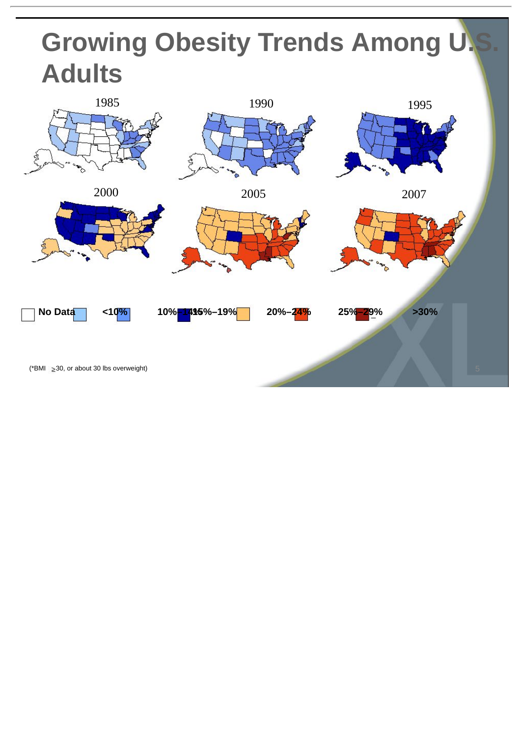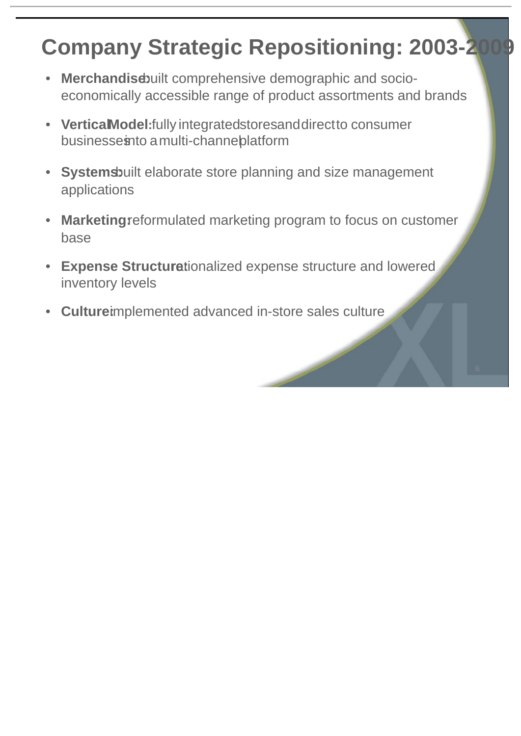#### **Company Strategic Repositioning: 2003-2009**

- Merchandiscuilt comprehensive demographic and socioeconomically accessible range of product assortments and brands
- **VerticalModel:**fully integratedstoresanddirectto consumer businesseinto a multi-channeblatform
- Systemsbuilt elaborate store planning and size management applications
- Marketingreformulated marketing program to focus on customer base
- Expense Structurationalized expense structure and lowered inventory levels
- **Culture:**implemented advanced in-store sales culture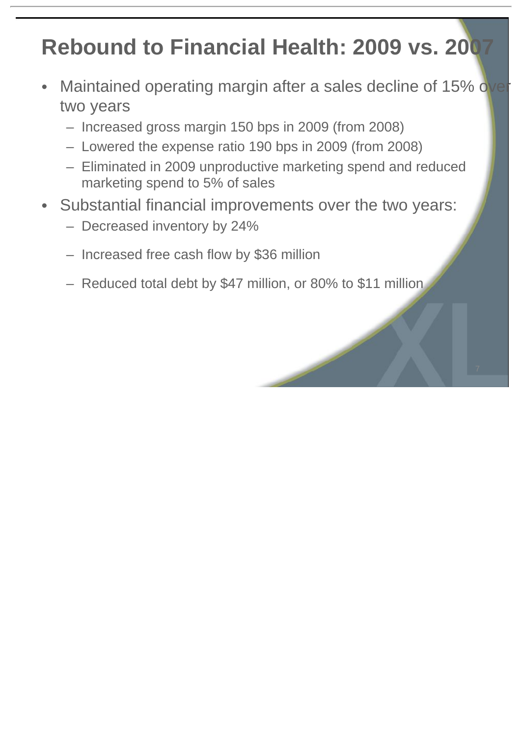#### **Rebound to Financial Health: 2009 vs. 2007**

- Maintained operating margin after a sales decline of 15% over two years
	- Increased gross margin 150 bps in 2009 (from 2008)
	- Lowered the expense ratio 190 bps in 2009 (from 2008)
	- Eliminated in 2009 unproductive marketing spend and reduced marketing spend to 5% of sales
- Substantial financial improvements over the two years:
	- Decreased inventory by 24%
	- Increased free cash flow by \$36 million
	- Reduced total debt by \$47 million, or 80% to \$11 million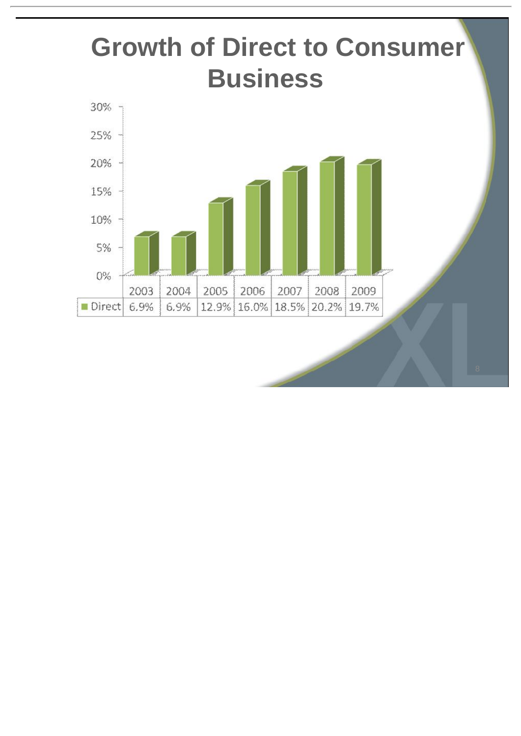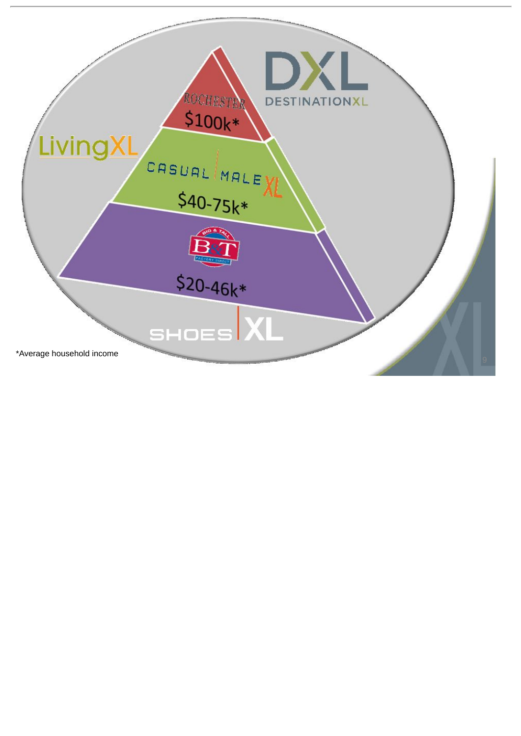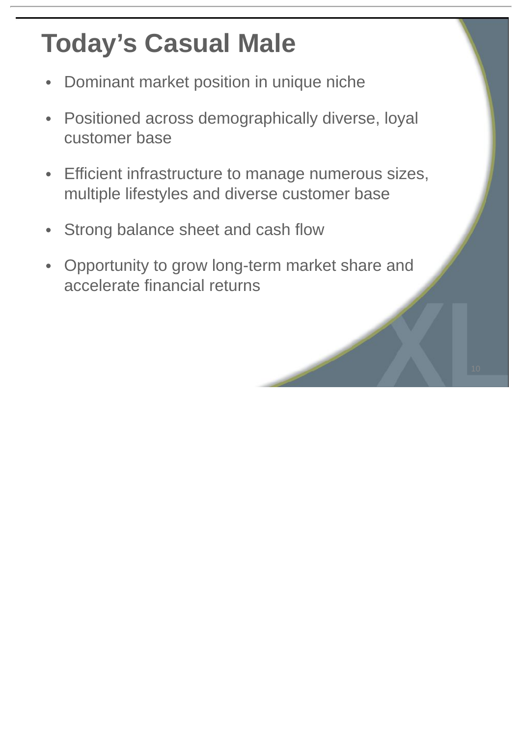### **Today's Casual Male**

- Dominant market position in unique niche
- Positioned across demographically diverse, loyal customer base
- Efficient infrastructure to manage numerous sizes, multiple lifestyles and diverse customer base
- Strong balance sheet and cash flow
- Opportunity to grow long-term market share and accelerate financial returns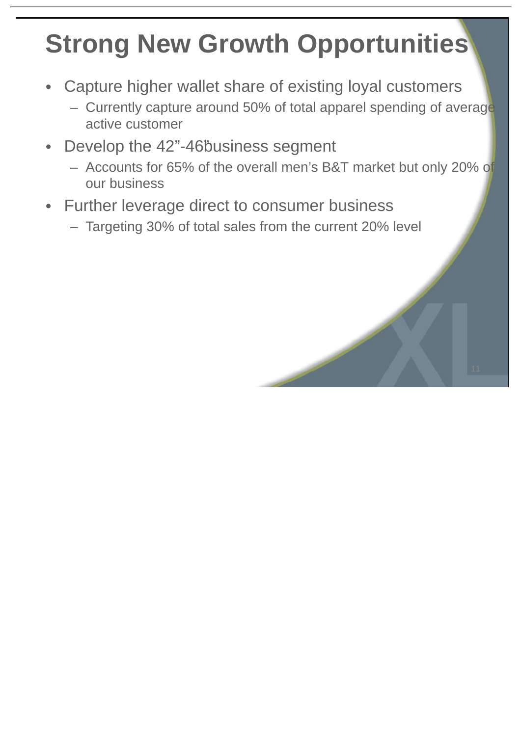# **Strong New Growth Opportunities**

- Capture higher wallet share of existing loyal customers
	- Currently capture around 50% of total apparel spending of average active customer
- Develop the 42"-46<sup>b</sup>usiness segment
	- Accounts for 65% of the overall men's B&T market but only 20% of our business
- Further leverage direct to consumer business
	- Targeting 30% of total sales from the current 20% level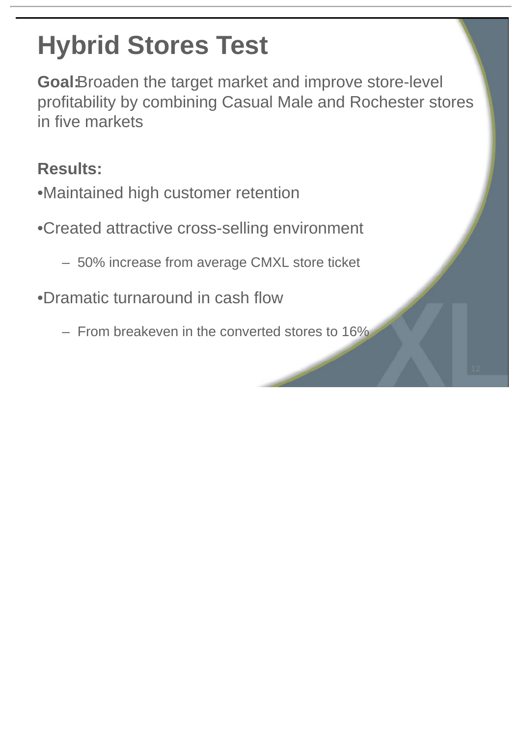# **Hybrid Stores Test**

**Goal:**Broaden the target market and improve store-level profitability by combining Casual Male and Rochester stores in five markets

#### **Results:**

- •Maintained high customer retention
- •Created attractive cross-selling environment
	- 50% increase from average CMXL store ticket
- •Dramatic turnaround in cash flow
	- From breakeven in the converted stores to 16%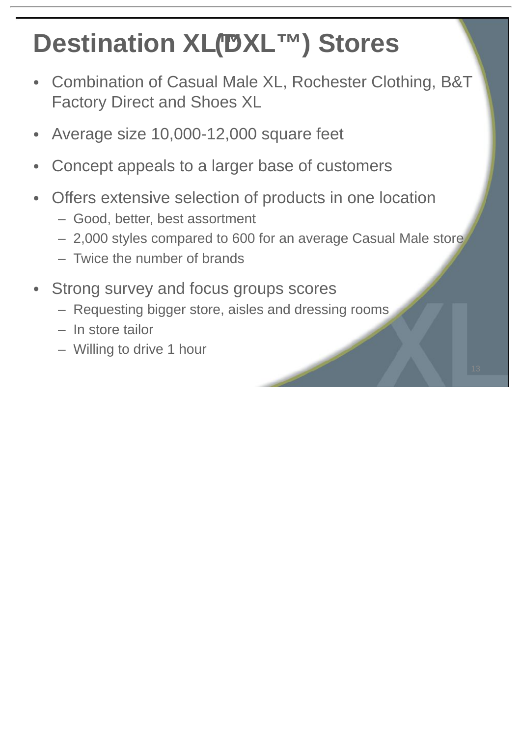# **Destination XL(DXL™) Stores**

- Combination of Casual Male XL, Rochester Clothing, B&T Factory Direct and Shoes XL
- Average size 10,000-12,000 square feet
- Concept appeals to a larger base of customers
- Offers extensive selection of products in one location
	- Good, better, best assortment
	- 2,000 styles compared to 600 for an average Casual Male store
	- Twice the number of brands
- Strong survey and focus groups scores
	- Requesting bigger store, aisles and dressing rooms
	- In store tailor
	- Willing to drive 1 hour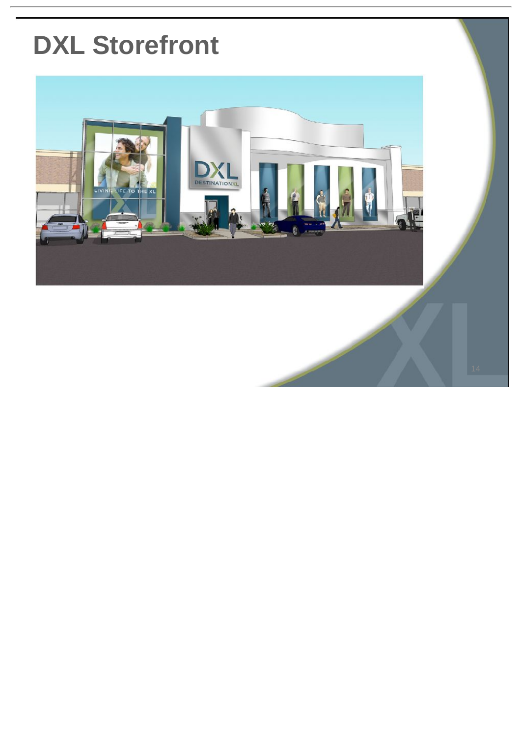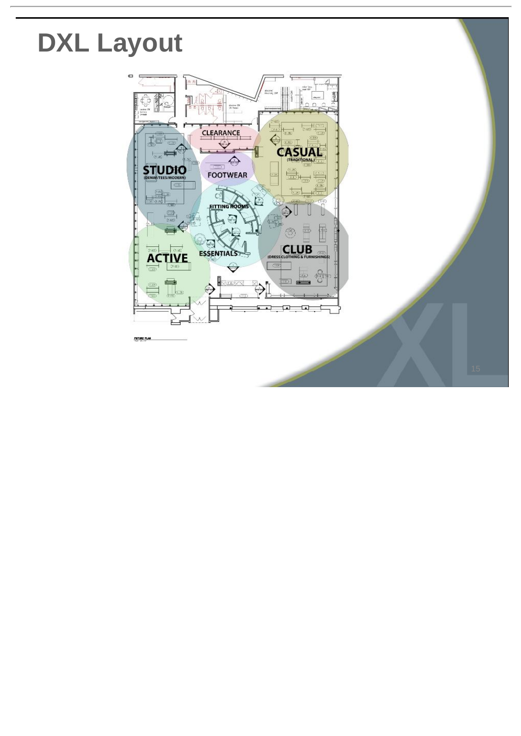### **DXL Layout**

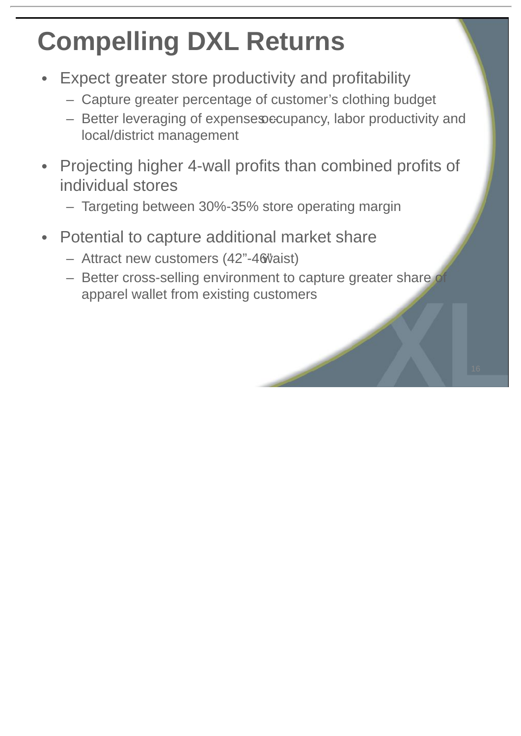## **Compelling DXL Returns**

- Expect greater store productivity and profitability
	- Capture greater percentage of customer's clothing budget
	- $-$  Better leveraging of expenses occupancy, labor productivity and local/district management
- Projecting higher 4-wall profits than combined profits of individual stores
	- Targeting between 30%-35% store operating margin
- Potential to capture additional market share
	- Attract new customers (42"-46"vaist)
	- Better cross-selling environment to capture greater share of apparel wallet from existing customers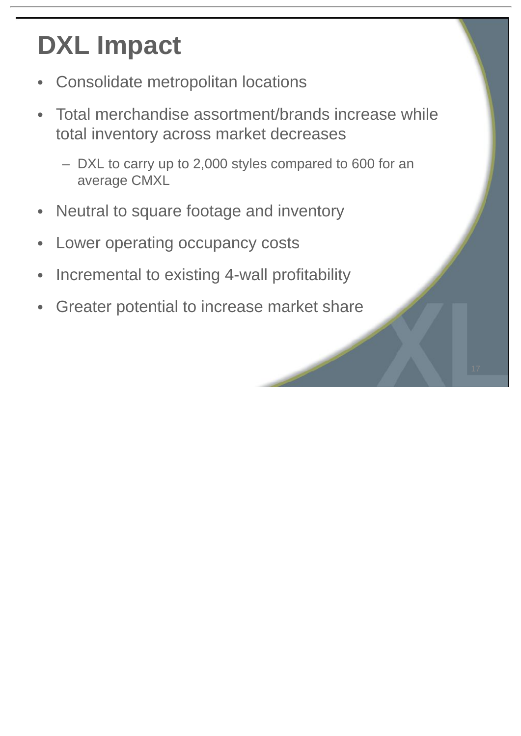# **DXL Impact**

- Consolidate metropolitan locations
- Total merchandise assortment/brands increase while total inventory across market decreases
	- DXL to carry up to 2,000 styles compared to 600 for an average CMXL
- Neutral to square footage and inventory
- Lower operating occupancy costs
- Incremental to existing 4-wall profitability
- Greater potential to increase market share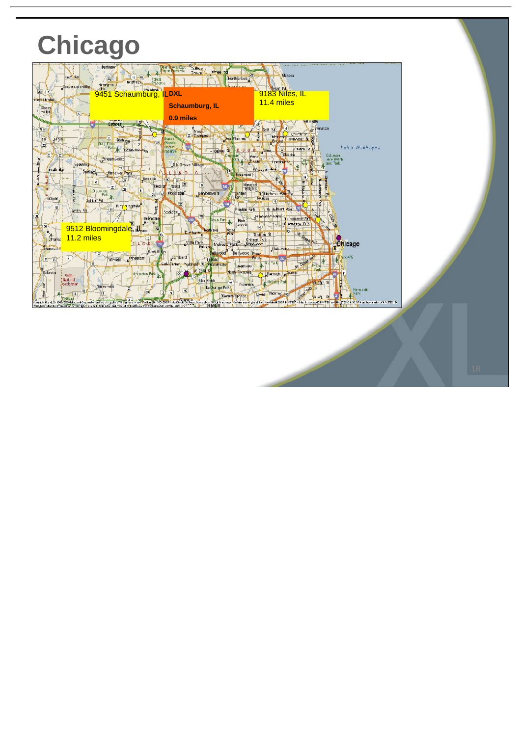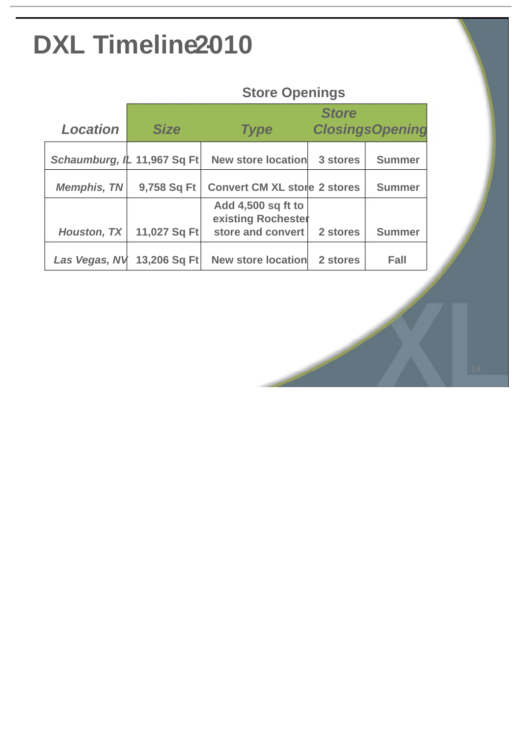### **DXL Timeline 2010**

#### **Store Openings**

|                             |              | <b>Store</b>                             |                        |               |  |
|-----------------------------|--------------|------------------------------------------|------------------------|---------------|--|
| <b>Location</b>             | <b>Size</b>  | <b>Type</b>                              | <b>ClosingsOpening</b> |               |  |
| Schaumburg, IL 11,967 Sq Ft |              | <b>New store location</b>                | 3 stores               | <b>Summer</b> |  |
| <b>Memphis, TN</b>          | 9,758 Sq Ft  | <b>Convert CM XL store 2 stores</b>      |                        | <b>Summer</b> |  |
|                             |              | Add 4,500 sq ft to<br>existing Rochester |                        |               |  |
| <b>Houston, TX</b>          | 11,027 Sq Ft | store and convert                        | 2 stores               | <b>Summer</b> |  |
| Las Vegas, NV               | 13,206 Sq Ft | <b>New store location</b>                | 2 stores               | Fall          |  |

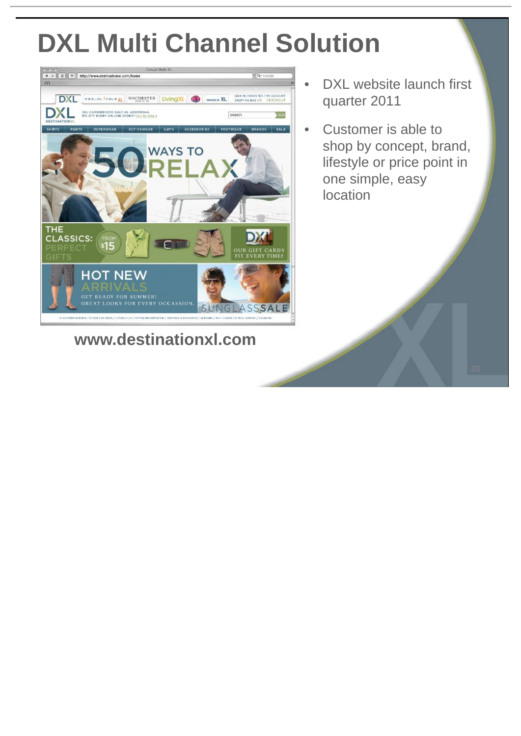### **DXL Multi Channel Solution**



**www.destinationxl.com**

- DXL website launch first quarter 2011
- Customer is able to shop by concept, brand, lifestyle or price point in one simple, easy location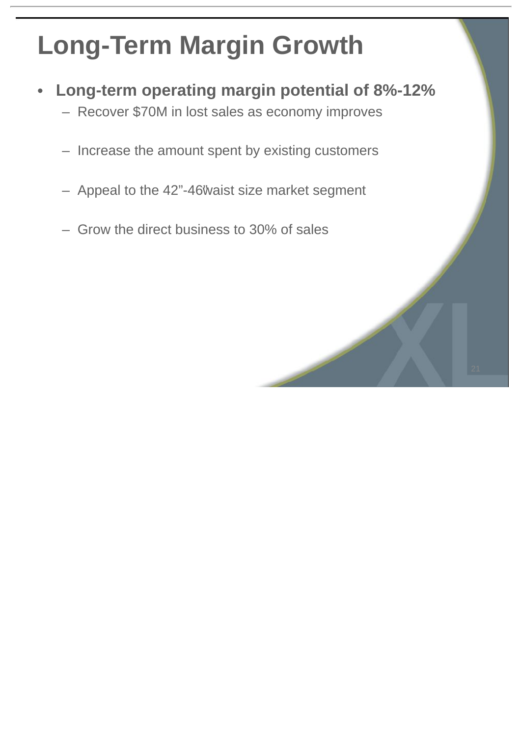### **Long-Term Margin Growth**

- **Long-term operating margin potential of 8%-12%**
	- Recover \$70M in lost sales as economy improves
	- Increase the amount spent by existing customers
	- Appeal to the 42"-46"waist size market segment
	- Grow the direct business to 30% of sales

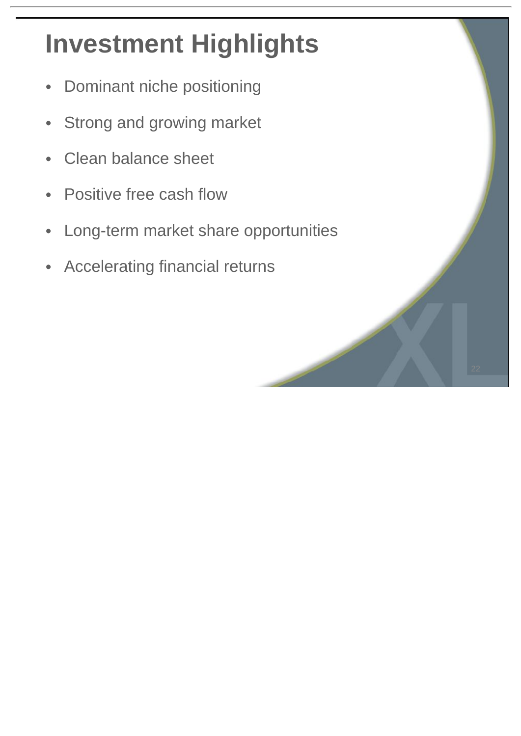# **Investment Highlights**

- Dominant niche positioning
- Strong and growing market
- Clean balance sheet
- Positive free cash flow
- Long-term market share opportunities
- Accelerating financial returns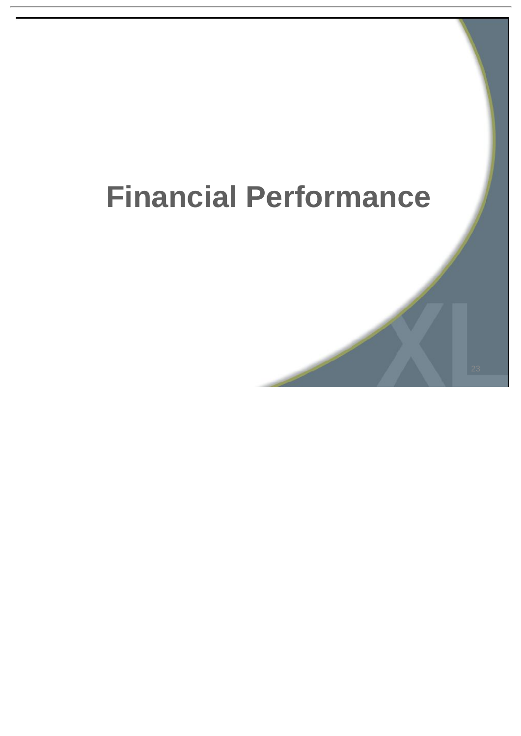# **Financial Performance**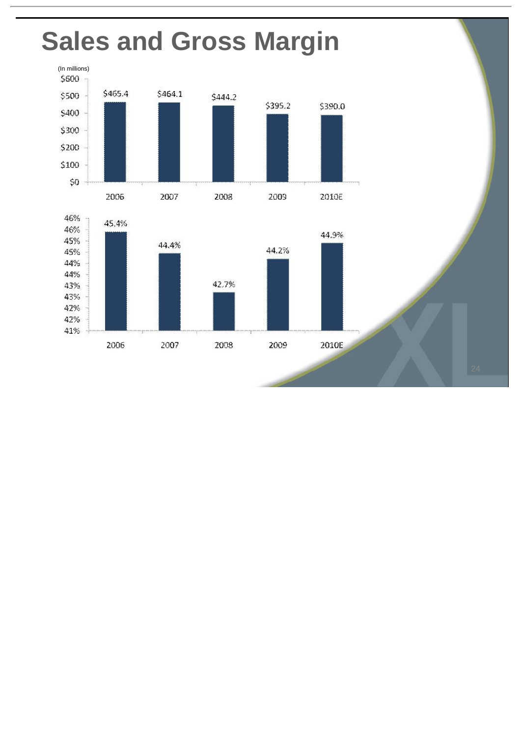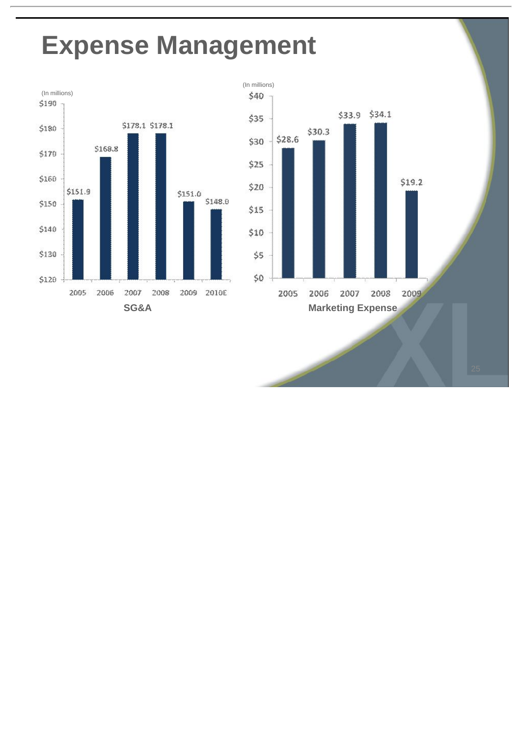#### **Expense Management**



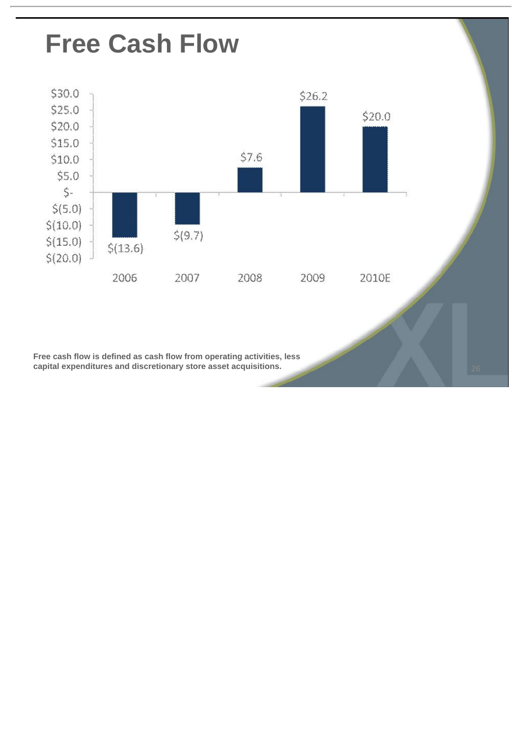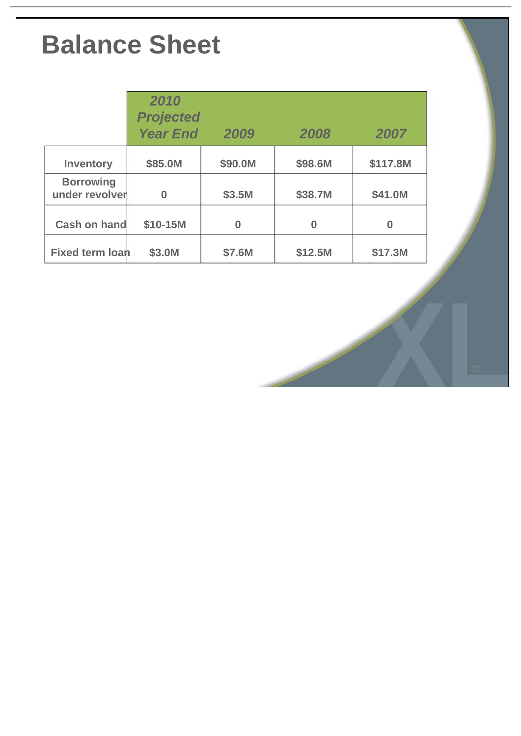### **Balance Sheet**

|                                    | 2010<br><b>Projected</b><br><b>Year End</b> | 2009     | 2008    | 2007     |
|------------------------------------|---------------------------------------------|----------|---------|----------|
| Inventory                          | \$85.0M                                     | \$90.0M  | \$98.6M | \$117.8M |
| <b>Borrowing</b><br>under revolver | $\bf{0}$                                    | \$3.5M   | \$38.7M | \$41.0M  |
| Cash on hand                       | \$10-15M                                    | $\Omega$ | 0       | ი        |
| <b>Fixed term loan</b>             | \$3.0M                                      | \$7.6M   | \$12.5M | \$17.3M  |

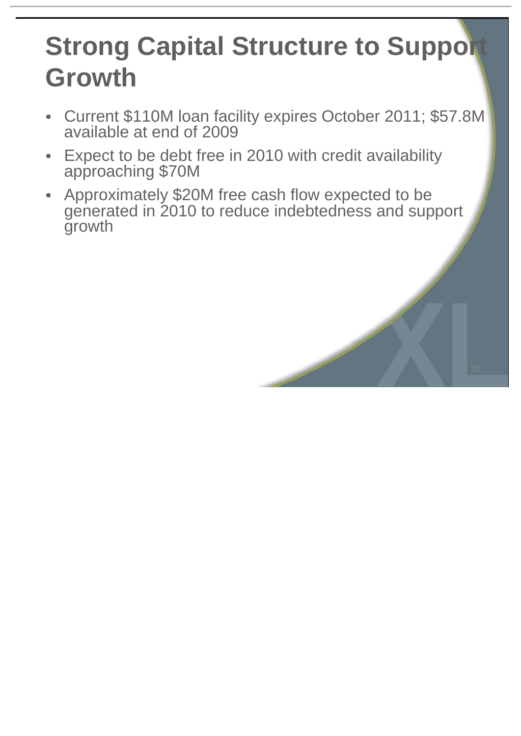### **Strong Capital Structure to Support Growth**

- Current \$110M loan facility expires October 2011; \$57.8M available at end of 2009
- Expect to be debt free in 2010 with credit availability approaching \$70M
- Approximately \$20M free cash flow expected to be generated in 2010 to reduce indebtedness and support growth